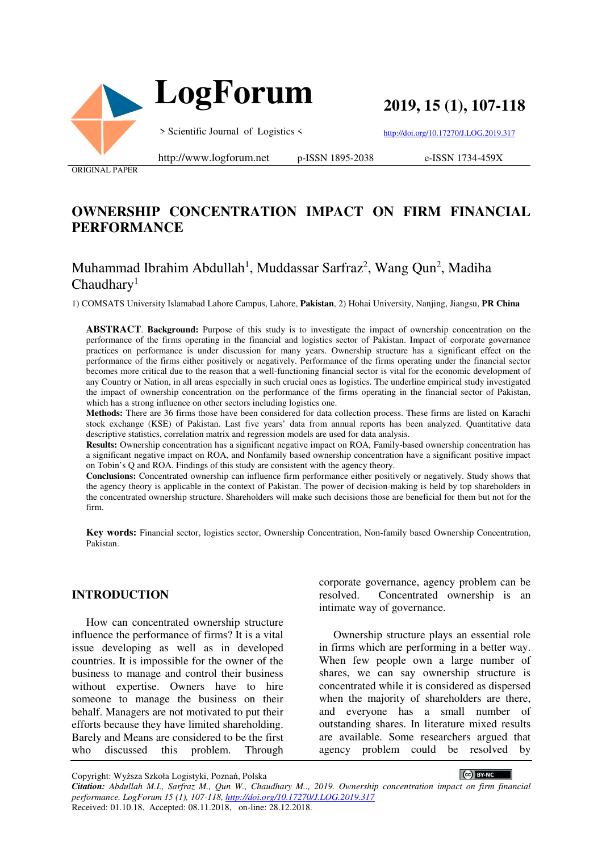

**2019, 15 (1), 107-118**

> Scientific Journal of Logistics <

http://doi.org/10.17270/J.LOG.2019.317

ORIGINAL PAPER

http://www.logforum.net p-ISSN 1895-2038

e-ISSN 1734-459X

# **OWNERSHIP CONCENTRATION IMPACT ON FIRM FINANCIAL PERFORMANCE**

# Muhammad Ibrahim Abdullah<sup>1</sup>, Muddassar Sarfraz<sup>2</sup>, Wang Qun<sup>2</sup>, Madiha  $Chaudharv<sup>1</sup>$

1) COMSATS University Islamabad Lahore Campus, Lahore, **Pakistan**, 2) Hohai University, Nanjing, Jiangsu, **PR China** 

**ABSTRACT**. **Background:** Purpose of this study is to investigate the impact of ownership concentration on the performance of the firms operating in the financial and logistics sector of Pakistan. Impact of corporate governance practices on performance is under discussion for many years. Ownership structure has a significant effect on the performance of the firms either positively or negatively. Performance of the firms operating under the financial sector becomes more critical due to the reason that a well-functioning financial sector is vital for the economic development of any Country or Nation, in all areas especially in such crucial ones as logistics. The underline empirical study investigated the impact of ownership concentration on the performance of the firms operating in the financial sector of Pakistan, which has a strong influence on other sectors including logistics one.

**Methods:** There are 36 firms those have been considered for data collection process. These firms are listed on Karachi stock exchange (KSE) of Pakistan. Last five years' data from annual reports has been analyzed. Quantitative data descriptive statistics, correlation matrix and regression models are used for data analysis.

**Results:** Ownership concentration has a significant negative impact on ROA, Family-based ownership concentration has a significant negative impact on ROA, and Nonfamily based ownership concentration have a significant positive impact on Tobin's Q and ROA. Findings of this study are consistent with the agency theory.

**Conclusions:** Concentrated ownership can influence firm performance either positively or negatively. Study shows that the agency theory is applicable in the context of Pakistan. The power of decision-making is held by top shareholders in the concentrated ownership structure. Shareholders will make such decisions those are beneficial for them but not for the firm.

**Key words:** Financial sector, logistics sector, Ownership Concentration, Non-family based Ownership Concentration, Pakistan.

#### **INTRODUCTION**

How can concentrated ownership structure influence the performance of firms? It is a vital issue developing as well as in developed countries. It is impossible for the owner of the business to manage and control their business without expertise. Owners have to hire someone to manage the business on their behalf. Managers are not motivated to put their efforts because they have limited shareholding. Barely and Means are considered to be the first who discussed this problem. Through

corporate governance, agency problem can be resolved. Concentrated ownership is an intimate way of governance.

Ownership structure plays an essential role in firms which are performing in a better way. When few people own a large number of shares, we can say ownership structure is concentrated while it is considered as dispersed when the majority of shareholders are there, and everyone has a small number of outstanding shares. In literature mixed results are available. Some researchers argued that agency problem could be resolved by

Copyright: Wyższa Szkoła Logistyki, Poznań, Polska

CC BY-NC

*Citation: Abdullah M.I., Sarfraz M., Qun W., Chaudhary M.., 2019. Ownership concentration impact on firm financial performance. LogForum 15 (1), 107-118, http://doi.org/10.17270/J.LOG.2019.317*  Received: 01.10.18, Accepted: 08.11.2018, on-line: 28.12.2018.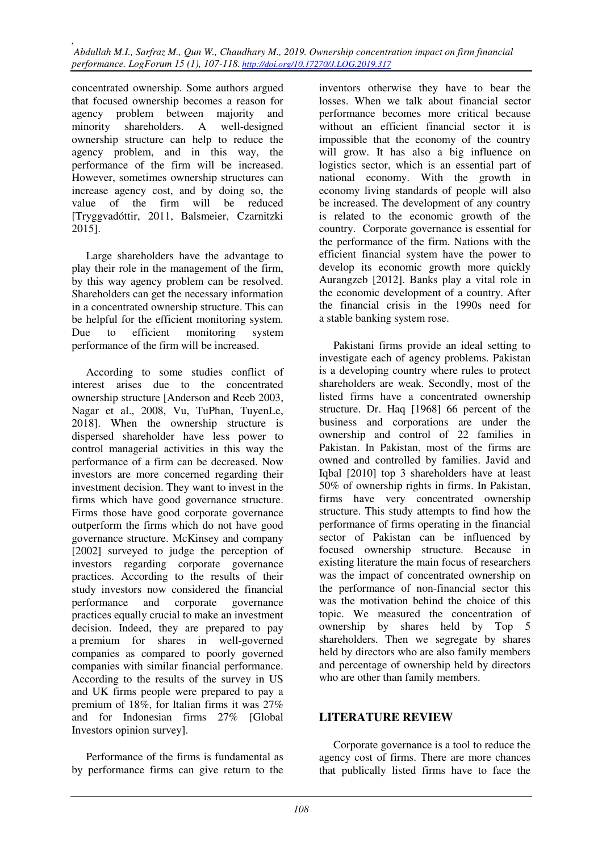concentrated ownership. Some authors argued that focused ownership becomes a reason for agency problem between majority and minority shareholders. A well-designed ownership structure can help to reduce the agency problem, and in this way, the performance of the firm will be increased. However, sometimes ownership structures can increase agency cost, and by doing so, the value of the firm will be reduced [Tryggvadóttir, 2011, Balsmeier, Czarnitzki 2015].

Large shareholders have the advantage to play their role in the management of the firm, by this way agency problem can be resolved. Shareholders can get the necessary information in a concentrated ownership structure. This can be helpful for the efficient monitoring system. Due to efficient monitoring system performance of the firm will be increased.

According to some studies conflict of interest arises due to the concentrated ownership structure [Anderson and Reeb 2003, Nagar et al., 2008, Vu, TuPhan, TuyenLe, 2018]. When the ownership structure is dispersed shareholder have less power to control managerial activities in this way the performance of a firm can be decreased. Now investors are more concerned regarding their investment decision. They want to invest in the firms which have good governance structure. Firms those have good corporate governance outperform the firms which do not have good governance structure. McKinsey and company [2002] surveyed to judge the perception of investors regarding corporate governance practices. According to the results of their study investors now considered the financial performance and corporate governance practices equally crucial to make an investment decision. Indeed, they are prepared to pay a premium for shares in well-governed companies as compared to poorly governed companies with similar financial performance. According to the results of the survey in US and UK firms people were prepared to pay a premium of 18%, for Italian firms it was 27% and for Indonesian firms 27% [Global Investors opinion survey].

Performance of the firms is fundamental as by performance firms can give return to the inventors otherwise they have to bear the losses. When we talk about financial sector performance becomes more critical because without an efficient financial sector it is impossible that the economy of the country will grow. It has also a big influence on logistics sector, which is an essential part of national economy. With the growth in economy living standards of people will also be increased. The development of any country is related to the economic growth of the country. Corporate governance is essential for the performance of the firm. Nations with the efficient financial system have the power to develop its economic growth more quickly Aurangzeb [2012]. Banks play a vital role in the economic development of a country. After the financial crisis in the 1990s need for a stable banking system rose.

Pakistani firms provide an ideal setting to investigate each of agency problems. Pakistan is a developing country where rules to protect shareholders are weak. Secondly, most of the listed firms have a concentrated ownership structure. Dr. Haq [1968] 66 percent of the business and corporations are under the ownership and control of 22 families in Pakistan. In Pakistan, most of the firms are owned and controlled by families. Javid and Iqbal [2010] top 3 shareholders have at least 50% of ownership rights in firms. In Pakistan, firms have very concentrated ownership structure. This study attempts to find how the performance of firms operating in the financial sector of Pakistan can be influenced by focused ownership structure. Because in existing literature the main focus of researchers was the impact of concentrated ownership on the performance of non-financial sector this was the motivation behind the choice of this topic. We measured the concentration of ownership by shares held by Top 5 shareholders. Then we segregate by shares held by directors who are also family members and percentage of ownership held by directors who are other than family members.

### **LITERATURE REVIEW**

Corporate governance is a tool to reduce the agency cost of firms. There are more chances that publically listed firms have to face the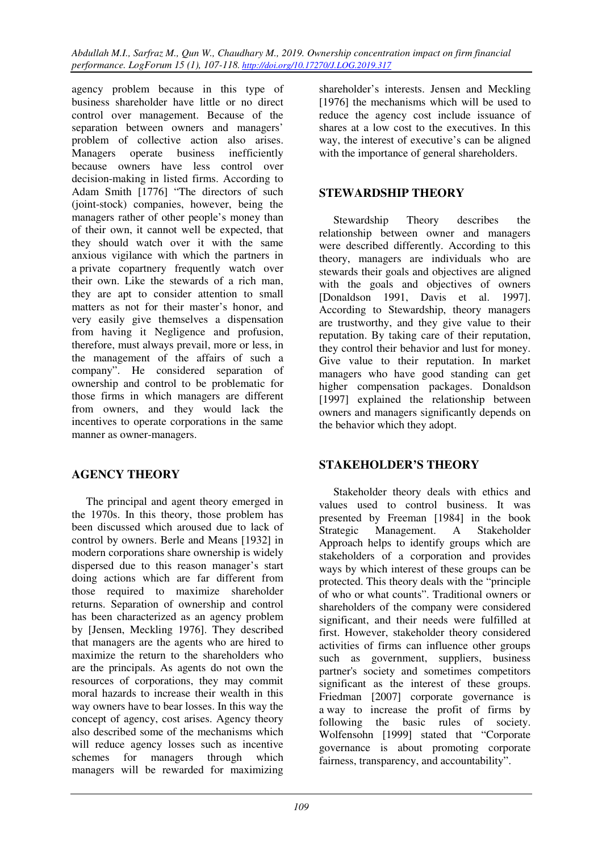agency problem because in this type of business shareholder have little or no direct control over management. Because of the separation between owners and managers' problem of collective action also arises. Managers operate business inefficiently because owners have less control over decision-making in listed firms. According to Adam Smith [1776] "The directors of such (joint-stock) companies, however, being the managers rather of other people's money than of their own, it cannot well be expected, that they should watch over it with the same anxious vigilance with which the partners in a private copartnery frequently watch over their own. Like the stewards of a rich man, they are apt to consider attention to small matters as not for their master's honor, and very easily give themselves a dispensation from having it Negligence and profusion, therefore, must always prevail, more or less, in the management of the affairs of such a company". He considered separation of ownership and control to be problematic for those firms in which managers are different from owners, and they would lack the incentives to operate corporations in the same manner as owner-managers.

# **AGENCY THEORY**

The principal and agent theory emerged in the 1970s. In this theory, those problem has been discussed which aroused due to lack of control by owners. Berle and Means [1932] in modern corporations share ownership is widely dispersed due to this reason manager's start doing actions which are far different from those required to maximize shareholder returns. Separation of ownership and control has been characterized as an agency problem by [Jensen, Meckling 1976]. They described that managers are the agents who are hired to maximize the return to the shareholders who are the principals. As agents do not own the resources of corporations, they may commit moral hazards to increase their wealth in this way owners have to bear losses. In this way the concept of agency, cost arises. Agency theory also described some of the mechanisms which will reduce agency losses such as incentive schemes for managers through which managers will be rewarded for maximizing

shareholder's interests. Jensen and Meckling [1976] the mechanisms which will be used to reduce the agency cost include issuance of shares at a low cost to the executives. In this way, the interest of executive's can be aligned with the importance of general shareholders.

## **STEWARDSHIP THEORY**

Stewardship Theory describes the relationship between owner and managers were described differently. According to this theory, managers are individuals who are stewards their goals and objectives are aligned with the goals and objectives of owners [Donaldson 1991, Davis et al. 1997]. According to Stewardship, theory managers are trustworthy, and they give value to their reputation. By taking care of their reputation, they control their behavior and lust for money. Give value to their reputation. In market managers who have good standing can get higher compensation packages. Donaldson [1997] explained the relationship between owners and managers significantly depends on the behavior which they adopt.

## **STAKEHOLDER'S THEORY**

Stakeholder theory deals with ethics and values used to control business. It was presented by Freeman [1984] in the book Strategic Management. A Stakeholder Approach helps to identify groups which are stakeholders of a corporation and provides ways by which interest of these groups can be protected. This theory deals with the "principle of who or what counts". Traditional owners or shareholders of the company were considered significant, and their needs were fulfilled at first. However, stakeholder theory considered activities of firms can influence other groups such as government, suppliers, business partner's society and sometimes competitors significant as the interest of these groups. Friedman [2007] corporate governance is a way to increase the profit of firms by following the basic rules of society. Wolfensohn [1999] stated that "Corporate governance is about promoting corporate fairness, transparency, and accountability".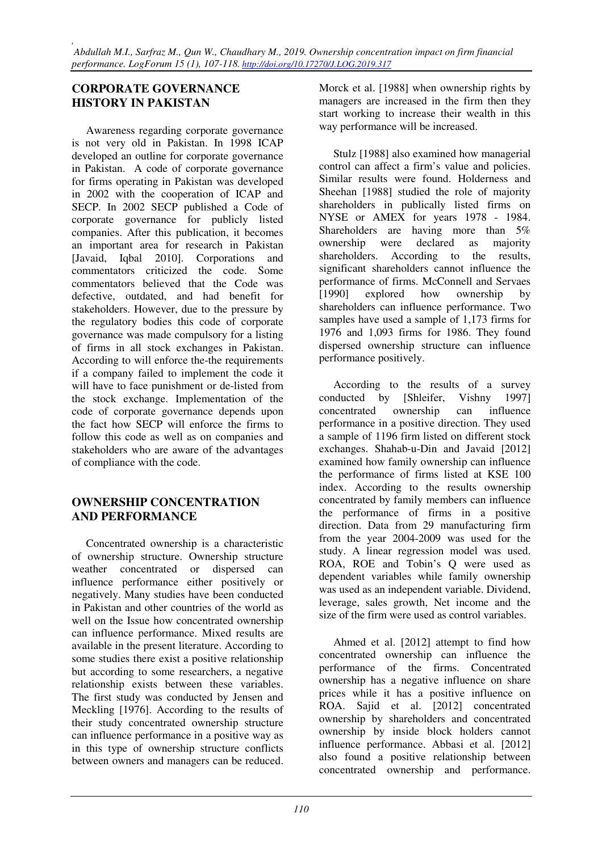### **CORPORATE GOVERNANCE HISTORY IN PAKISTAN**

Awareness regarding corporate governance is not very old in Pakistan. In 1998 ICAP developed an outline for corporate governance in Pakistan. A code of corporate governance for firms operating in Pakistan was developed in 2002 with the cooperation of ICAP and SECP. In 2002 SECP published a Code of corporate governance for publicly listed companies. After this publication, it becomes an important area for research in Pakistan [Javaid, Iqbal 2010]. Corporations and commentators criticized the code. Some commentators believed that the Code was defective, outdated, and had benefit for stakeholders. However, due to the pressure by the regulatory bodies this code of corporate governance was made compulsory for a listing of firms in all stock exchanges in Pakistan. According to will enforce the-the requirements if a company failed to implement the code it will have to face punishment or de-listed from the stock exchange. Implementation of the code of corporate governance depends upon the fact how SECP will enforce the firms to follow this code as well as on companies and stakeholders who are aware of the advantages of compliance with the code.

## **OWNERSHIP CONCENTRATION AND PERFORMANCE**

Concentrated ownership is a characteristic of ownership structure. Ownership structure weather concentrated or dispersed can influence performance either positively or negatively. Many studies have been conducted in Pakistan and other countries of the world as well on the Issue how concentrated ownership can influence performance. Mixed results are available in the present literature. According to some studies there exist a positive relationship but according to some researchers, a negative relationship exists between these variables. The first study was conducted by Jensen and Meckling [1976]. According to the results of their study concentrated ownership structure can influence performance in a positive way as in this type of ownership structure conflicts between owners and managers can be reduced. Morck et al. [1988] when ownership rights by managers are increased in the firm then they start working to increase their wealth in this way performance will be increased.

Stulz [1988] also examined how managerial control can affect a firm's value and policies. Similar results were found. Holderness and Sheehan [1988] studied the role of majority shareholders in publically listed firms on NYSE or AMEX for years 1978 - 1984. Shareholders are having more than 5% ownership were declared as majority shareholders. According to the results, significant shareholders cannot influence the performance of firms. McConnell and Servaes [1990] explored how ownership by shareholders can influence performance. Two samples have used a sample of 1,173 firms for 1976 and 1,093 firms for 1986. They found dispersed ownership structure can influence performance positively.

According to the results of a survey conducted by [Shleifer, Vishny 1997] concentrated ownership can influence performance in a positive direction. They used a sample of 1196 firm listed on different stock exchanges. Shahab-u-Din and Javaid [2012] examined how family ownership can influence the performance of firms listed at KSE 100 index. According to the results ownership concentrated by family members can influence the performance of firms in a positive direction. Data from 29 manufacturing firm from the year 2004-2009 was used for the study. A linear regression model was used. ROA, ROE and Tobin's Q were used as dependent variables while family ownership was used as an independent variable. Dividend, leverage, sales growth, Net income and the size of the firm were used as control variables.

Ahmed et al. [2012] attempt to find how concentrated ownership can influence the performance of the firms. Concentrated ownership has a negative influence on share prices while it has a positive influence on ROA. Sajid et al. [2012] concentrated ownership by shareholders and concentrated ownership by inside block holders cannot influence performance. Abbasi et al. [2012] also found a positive relationship between concentrated ownership and performance.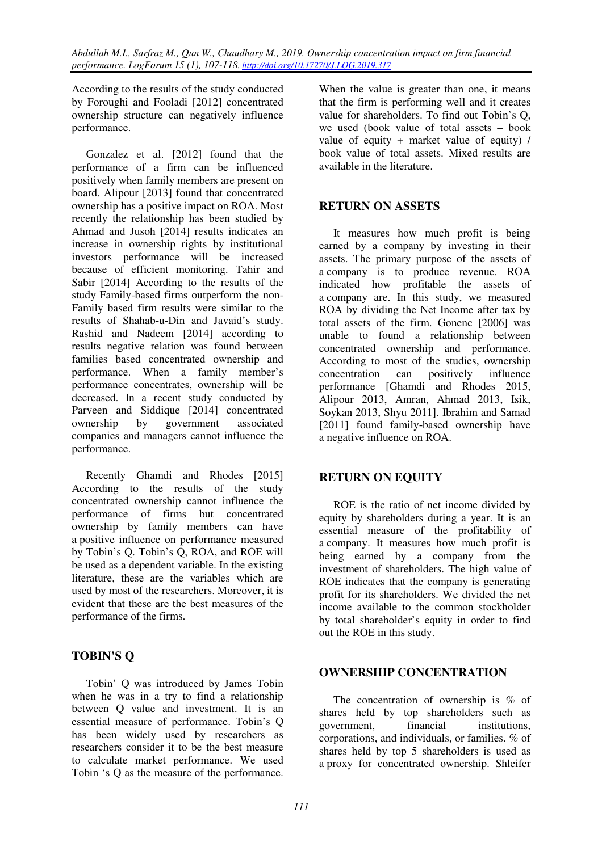According to the results of the study conducted by Foroughi and Fooladi [2012] concentrated ownership structure can negatively influence performance.

Gonzalez et al. [2012] found that the performance of a firm can be influenced positively when family members are present on board. Alipour [2013] found that concentrated ownership has a positive impact on ROA. Most recently the relationship has been studied by Ahmad and Jusoh [2014] results indicates an increase in ownership rights by institutional investors performance will be increased because of efficient monitoring. Tahir and Sabir [2014] According to the results of the study Family-based firms outperform the non-Family based firm results were similar to the results of Shahab-u-Din and Javaid's study. Rashid and Nadeem [2014] according to results negative relation was found between families based concentrated ownership and performance. When a family member's performance concentrates, ownership will be decreased. In a recent study conducted by Parveen and Siddique [2014] concentrated ownership by government associated companies and managers cannot influence the performance.

Recently Ghamdi and Rhodes [2015] According to the results of the study concentrated ownership cannot influence the performance of firms but concentrated ownership by family members can have a positive influence on performance measured by Tobin's Q. Tobin's Q, ROA, and ROE will be used as a dependent variable. In the existing literature, these are the variables which are used by most of the researchers. Moreover, it is evident that these are the best measures of the performance of the firms.

# **TOBIN'S Q**

Tobin' Q was introduced by James Tobin when he was in a try to find a relationship between Q value and investment. It is an essential measure of performance. Tobin's Q has been widely used by researchers as researchers consider it to be the best measure to calculate market performance. We used Tobin 's Q as the measure of the performance.

When the value is greater than one, it means that the firm is performing well and it creates value for shareholders. To find out Tobin's Q, we used (book value of total assets – book value of equity + market value of equity) / book value of total assets. Mixed results are available in the literature.

## **RETURN ON ASSETS**

It measures how much profit is being earned by a company by investing in their assets. The primary purpose of the assets of a company is to produce revenue. ROA indicated how profitable the assets of a company are. In this study, we measured ROA by dividing the Net Income after tax by total assets of the firm. Gonenc [2006] was unable to found a relationship between concentrated ownership and performance. According to most of the studies, ownership concentration can positively influence performance [Ghamdi and Rhodes 2015, Alipour 2013, Amran, Ahmad 2013, Isik, Soykan 2013, Shyu 2011]. Ibrahim and Samad [2011] found family-based ownership have a negative influence on ROA.

# **RETURN ON EQUITY**

ROE is the ratio of net income divided by equity by shareholders during a year. It is an essential measure of the profitability of a company. It measures how much profit is being earned by a company from the investment of shareholders. The high value of ROE indicates that the company is generating profit for its shareholders. We divided the net income available to the common stockholder by total shareholder's equity in order to find out the ROE in this study.

## **OWNERSHIP CONCENTRATION**

The concentration of ownership is % of shares held by top shareholders such as government, financial institutions, corporations, and individuals, or families. % of shares held by top 5 shareholders is used as a proxy for concentrated ownership. Shleifer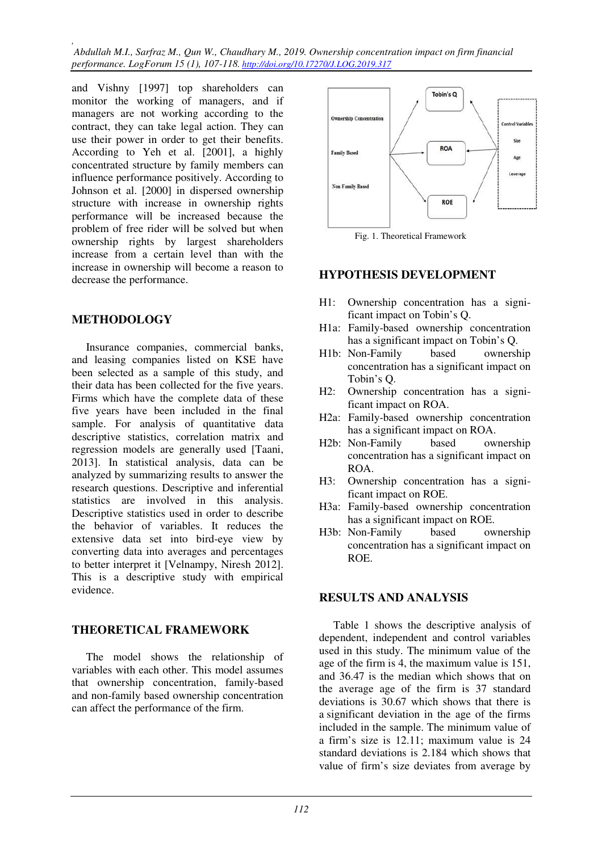*, Abdullah M.I., Sarfraz M., Qun W., Chaudhary M., 2019. Ownership concentration impact on firm financial performance. LogForum 15 (1), 107-118. http://doi.org/10.17270/J.LOG.2019.317* 

and Vishny [1997] top shareholders can monitor the working of managers, and if managers are not working according to the contract, they can take legal action. They can use their power in order to get their benefits. According to Yeh et al. [2001], a highly concentrated structure by family members can influence performance positively. According to Johnson et al. [2000] in dispersed ownership structure with increase in ownership rights performance will be increased because the problem of free rider will be solved but when ownership rights by largest shareholders increase from a certain level than with the increase in ownership will become a reason to decrease the performance.

### **METHODOLOGY**

Insurance companies, commercial banks, and leasing companies listed on KSE have been selected as a sample of this study, and their data has been collected for the five years. Firms which have the complete data of these five years have been included in the final sample. For analysis of quantitative data descriptive statistics, correlation matrix and regression models are generally used [Taani, 2013]. In statistical analysis, data can be analyzed by summarizing results to answer the research questions. Descriptive and inferential statistics are involved in this analysis. Descriptive statistics used in order to describe the behavior of variables. It reduces the extensive data set into bird-eye view by converting data into averages and percentages to better interpret it [Velnampy, Niresh 2012]. This is a descriptive study with empirical evidence.

### **THEORETICAL FRAMEWORK**

The model shows the relationship of variables with each other. This model assumes that ownership concentration, family-based and non-family based ownership concentration can affect the performance of the firm.



Fig. 1. Theoretical Framework

#### **HYPOTHESIS DEVELOPMENT**

- H1: Ownership concentration has a significant impact on Tobin's Q.
- H1a: Family-based ownership concentration has a significant impact on Tobin's Q.
- H1b: Non-Family based ownership concentration has a significant impact on Tobin's Q.
- H2: Ownership concentration has a significant impact on ROA.
- H2a: Family-based ownership concentration has a significant impact on ROA.
- H2b: Non-Family based ownership concentration has a significant impact on ROA.
- H3: Ownership concentration has a significant impact on ROE.
- H3a: Family-based ownership concentration has a significant impact on ROE.
- H3b: Non-Family based ownership concentration has a significant impact on ROE.

#### **RESULTS AND ANALYSIS**

Table 1 shows the descriptive analysis of dependent, independent and control variables used in this study. The minimum value of the age of the firm is 4, the maximum value is 151, and 36.47 is the median which shows that on the average age of the firm is 37 standard deviations is 30.67 which shows that there is a significant deviation in the age of the firms included in the sample. The minimum value of a firm's size is 12.11; maximum value is 24 standard deviations is 2.184 which shows that value of firm's size deviates from average by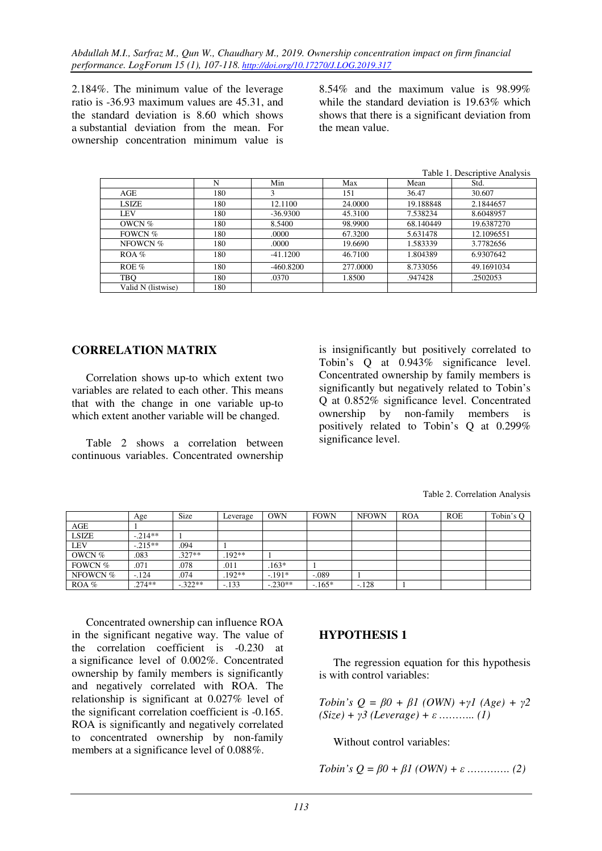2.184%. The minimum value of the leverage ratio is -36.93 maximum values are 45.31, and the standard deviation is 8.60 which shows a substantial deviation from the mean. For ownership concentration minimum value is

8.54% and the maximum value is 98.99% while the standard deviation is 19.63% which shows that there is a significant deviation from the mean value.

|                    |     |             |          |           | Table 1. Descriptive Analysis |
|--------------------|-----|-------------|----------|-----------|-------------------------------|
|                    | N   | Min         | Max      | Mean      | Std.                          |
| AGE                | 180 |             | 151      | 36.47     | 30.607                        |
| <b>LSIZE</b>       | 180 | 12.1100     | 24.0000  | 19.188848 | 2.1844657                     |
| LEV                | 180 | $-36.9300$  | 45.3100  | 7.538234  | 8.6048957                     |
| OWCN %             | 180 | 8.5400      | 98.9900  | 68.140449 | 19.6387270                    |
| FOWCN $%$          | 180 | .0000       | 67.3200  | 5.631478  | 12.1096551                    |
| NFOWCN %           | 180 | .0000       | 19.6690  | 1.583339  | 3.7782656                     |
| $ROA \%$           | 180 | $-41.1200$  | 46.7100  | 1.804389  | 6.9307642                     |
| ROE $%$            | 180 | $-460.8200$ | 277,0000 | 8.733056  | 49.1691034                    |
| <b>TBQ</b>         | 180 | .0370       | 1.8500   | .947428   | .2502053                      |
| Valid N (listwise) | 180 |             |          |           |                               |

### **CORRELATION MATRIX**

Correlation shows up-to which extent two variables are related to each other. This means that with the change in one variable up-to which extent another variable will be changed.

Table 2 shows a correlation between continuous variables. Concentrated ownership

is insignificantly but positively correlated to Tobin's Q at 0.943% significance level. Concentrated ownership by family members is significantly but negatively related to Tobin's Q at 0.852% significance level. Concentrated ownership by non-family members is positively related to Tobin's Q at 0.299% significance level.

|              | Age       | <b>Size</b> | Leverage | <b>OWN</b> | <b>FOWN</b> | <b>NFOWN</b> | <b>ROA</b> | <b>ROE</b> | Tobin's Q |
|--------------|-----------|-------------|----------|------------|-------------|--------------|------------|------------|-----------|
| AGE          |           |             |          |            |             |              |            |            |           |
| <b>LSIZE</b> | $-.214**$ |             |          |            |             |              |            |            |           |
| <b>LEV</b>   | $-.215**$ | .094        |          |            |             |              |            |            |           |
| OWCN $%$     | .083      | $.327**$    | .192**   |            |             |              |            |            |           |
| FOWCN %      | .071      | .078        | .011     | $.163*$    |             |              |            |            |           |
| NFOWCN %     | $-124$    | .074        | .192**   | $-.191*$   | $-.089$     |              |            |            |           |
| $ROA$ %      | $.274**$  | $-.322**$   | $-.133$  | $-.230**$  | $-165*$     | $-.128$      |            |            |           |

Concentrated ownership can influence ROA in the significant negative way. The value of the correlation coefficient is -0.230 at a significance level of 0.002%. Concentrated ownership by family members is significantly and negatively correlated with ROA. The relationship is significant at 0.027% level of the significant correlation coefficient is -0.165. ROA is significantly and negatively correlated to concentrated ownership by non-family members at a significance level of 0.088%.

### **HYPOTHESIS 1**

The regression equation for this hypothesis is with control variables:

*Tobin's Q = β0 + β1 (OWN) +γ1 (Age) + γ2 (Size) + γ3 (Leverage) + ε ……….. (1)* 

Without control variables:

*Tobin's*  $Q = \beta 0 + \beta 1$  (*OWN*) + *ε ………….* (2)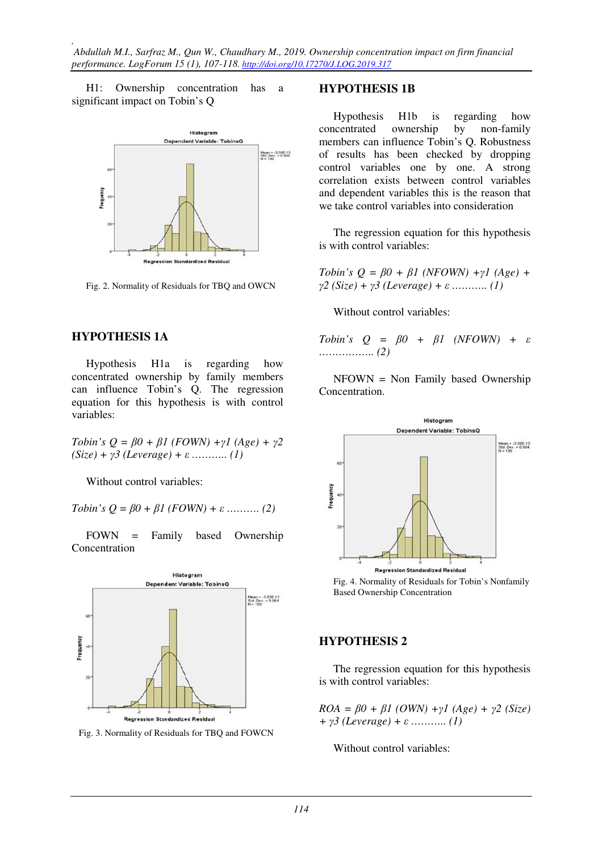H1: Ownership concentration has a significant impact on Tobin's Q



Fig. 2. Normality of Residuals for TBQ and OWCN

#### **HYPOTHESIS 1A**

Hypothesis H1a is regarding how concentrated ownership by family members can influence Tobin's Q. The regression equation for this hypothesis is with control variables:

 $Tobin's Q = \beta 0 + \beta 1$  ( $FOWN$ ) + $\gamma 1$  (Age) +  $\gamma 2$ *(Size) + γ3 (Leverage) + ε ……….. (1)* 

Without control variables:

*Tobin's*  $Q = \beta 0 + \beta 1$  (*FOWN*) + *ε* ………. (2)

FOWN = Family based Ownership Concentration



Fig. 3. Normality of Residuals for TBQ and FOWCN

#### **HYPOTHESIS 1B**

Hypothesis H1b is regarding how concentrated ownership by non-family members can influence Tobin's Q. Robustness of results has been checked by dropping control variables one by one. A strong correlation exists between control variables and dependent variables this is the reason that we take control variables into consideration

The regression equation for this hypothesis is with control variables:

*Tobin's Q = β0 + β1 (NFOWN) +γ1 (Age) + γ2 (Size) + γ3 (Leverage) + ε ……….. (1)* 

Without control variables:

*Tobin's Q = β0 + β1 (NFOWN) + ε …………….. (2)* 

NFOWN = Non Family based Ownership Concentration.



 Fig. 4. Normality of Residuals for Tobin's Nonfamily Based Ownership Concentration

### **HYPOTHESIS 2**

The regression equation for this hypothesis is with control variables:

 $ROA = \beta 0 + \beta 1$  (OWN) + $\gamma$ 1 (Age) +  $\gamma$ 2 (Size) *+ γ3 (Leverage) + ε ……….. (1)* 

Without control variables: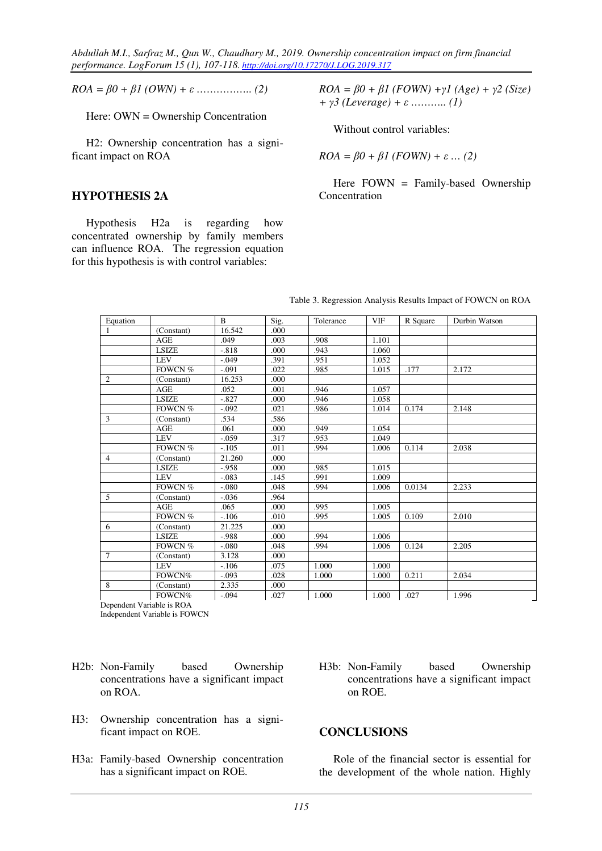$ROA = \beta 0 + \beta 1 (OWN) + \varepsilon$  ………………….. (2)

Here: OWN = Ownership Concentration

H2: Ownership concentration has a significant impact on ROA

#### **HYPOTHESIS 2A**

Hypothesis H2a is regarding how concentrated ownership by family members can influence ROA. The regression equation for this hypothesis is with control variables:

 $ROA = \beta 0 + \beta 1 (FOWN) + \gamma 1 (Age) + \gamma 2 (Size)$ *+ γ3 (Leverage) + ε ……….. (1)* 

Without control variables:

*ROA* =  $β0 + β1$  (*FOWN*) +  $ε$  ... (2)

Here FOWN = Family-based Ownership Concentration

| Equation                                                  |              | $\mathbf{B}$ | Sig. | Tolerance | <b>VIF</b> | R Square | Durbin Watson |
|-----------------------------------------------------------|--------------|--------------|------|-----------|------------|----------|---------------|
| $\overline{1}$                                            | (Constant)   | 16.542       | .000 |           |            |          |               |
|                                                           | <b>AGE</b>   | .049         | .003 | .908      | 1.101      |          |               |
|                                                           | <b>LSIZE</b> | $-.818$      | .000 | .943      | 1.060      |          |               |
|                                                           | <b>LEV</b>   | $-.049$      | .391 | .951      | 1.052      |          |               |
|                                                           | FOWCN %      | $-.091$      | .022 | .985      | 1.015      | .177     | 2.172         |
| $\overline{2}$                                            | (Constant)   | 16.253       | .000 |           |            |          |               |
|                                                           | AGE          | .052         | .001 | .946      | 1.057      |          |               |
|                                                           | <b>LSIZE</b> | $-.827$      | .000 | .946      | 1.058      |          |               |
|                                                           | FOWCN %      | $-.092$      | .021 | .986      | 1.014      | 0.174    | 2.148         |
| 3                                                         | (Constant)   | .534         | .586 |           |            |          |               |
|                                                           | AGE          | .061         | .000 | .949      | 1.054      |          |               |
|                                                           | <b>LEV</b>   | $-.059$      | .317 | .953      | 1.049      |          |               |
|                                                           | FOWCN %      | $-.105$      | .011 | .994      | 1.006      | 0.114    | 2.038         |
| $\overline{4}$                                            | (Constant)   | 21.260       | .000 |           |            |          |               |
|                                                           | <b>LSIZE</b> | $-.958$      | .000 | .985      | 1.015      |          |               |
|                                                           | <b>LEV</b>   | $-.083$      | .145 | .991      | 1.009      |          |               |
|                                                           | FOWCN %      | $-.080$      | .048 | .994      | 1.006      | 0.0134   | 2.233         |
| $\overline{5}$                                            | (Constant)   | $-.036$      | .964 |           |            |          |               |
|                                                           | <b>AGE</b>   | .065         | .000 | .995      | 1.005      |          |               |
|                                                           | FOWCN %      | $-.106$      | .010 | .995      | 1.005      | 0.109    | 2.010         |
| 6                                                         | (Constant)   | 21.225       | .000 |           |            |          |               |
|                                                           | <b>LSIZE</b> | $-.988$      | .000 | .994      | 1.006      |          |               |
|                                                           | FOWCN %      | $-.080$      | .048 | .994      | 1.006      | 0.124    | 2.205         |
| $7\phantom{.0}$                                           | (Constant)   | 3.128        | .000 |           |            |          |               |
|                                                           | <b>LEV</b>   | $-.106$      | .075 | 1.000     | 1.000      |          |               |
|                                                           | FOWCN%       | $-.093$      | .028 | 1.000     | 1.000      | 0.211    | 2.034         |
| $\overline{8}$                                            | (Constant)   | 2.335        | .000 |           |            |          |               |
|                                                           | FOWCN%       | $-.094$      | .027 | 1.000     | 1.000      | .027     | 1.996         |
| $D_1, \ldots, D_{n+1}$ $M_2, \ldots, M_n$ is $D \cap A$ . |              |              |      |           |            |          |               |

| Table 3. Regression Analysis Results Impact of FOWCN on ROA |  |  |
|-------------------------------------------------------------|--|--|

Dependent Variable is ROA

Independent Variable is FOWCN

- H2b: Non-Family based Ownership concentrations have a significant impact on ROA.
- H3: Ownership concentration has a significant impact on ROE.
- H3a: Family-based Ownership concentration has a significant impact on ROE.
- H3b: Non-Family based Ownership concentrations have a significant impact on ROE.

#### **CONCLUSIONS**

Role of the financial sector is essential for the development of the whole nation. Highly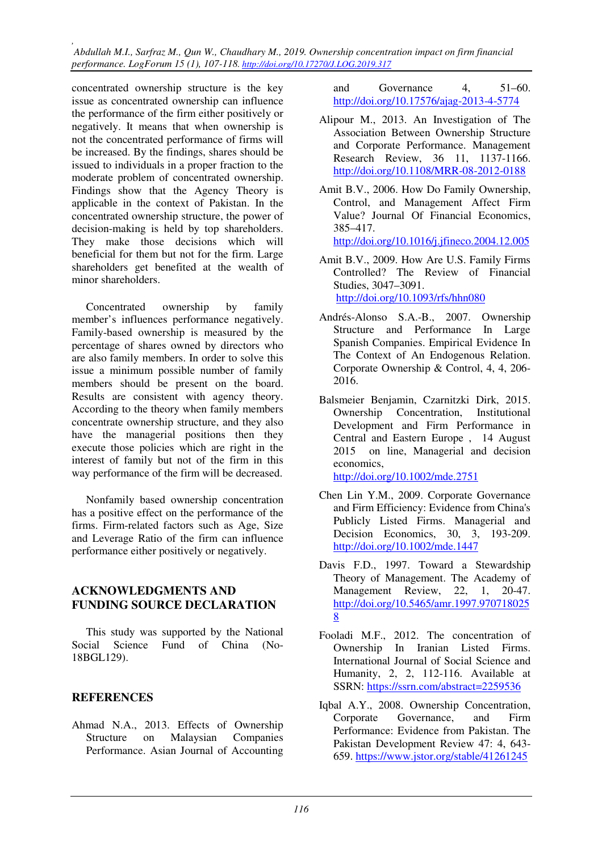*, Abdullah M.I., Sarfraz M., Qun W., Chaudhary M., 2019. Ownership concentration impact on firm financial performance. LogForum 15 (1), 107-118. http://doi.org/10.17270/J.LOG.2019.317* 

concentrated ownership structure is the key issue as concentrated ownership can influence the performance of the firm either positively or negatively. It means that when ownership is not the concentrated performance of firms will be increased. By the findings, shares should be issued to individuals in a proper fraction to the moderate problem of concentrated ownership. Findings show that the Agency Theory is applicable in the context of Pakistan. In the concentrated ownership structure, the power of decision-making is held by top shareholders. They make those decisions which will beneficial for them but not for the firm. Large shareholders get benefited at the wealth of minor shareholders.

Concentrated ownership by family member's influences performance negatively. Family-based ownership is measured by the percentage of shares owned by directors who are also family members. In order to solve this issue a minimum possible number of family members should be present on the board. Results are consistent with agency theory. According to the theory when family members concentrate ownership structure, and they also have the managerial positions then they execute those policies which are right in the interest of family but not of the firm in this way performance of the firm will be decreased.

Nonfamily based ownership concentration has a positive effect on the performance of the firms. Firm-related factors such as Age, Size and Leverage Ratio of the firm can influence performance either positively or negatively.

### **ACKNOWLEDGMENTS AND FUNDING SOURCE DECLARATION**

This study was supported by the National Social Science Fund of China (No-18BGL129).

### **REFERENCES**

Ahmad N.A., 2013. Effects of Ownership Structure on Malaysian Companies Performance. Asian Journal of Accounting

and Governance 4, 51–60. http://doi.org/10.17576/ajag-2013-4-5774

- Alipour M., 2013. An Investigation of The Association Between Ownership Structure and Corporate Performance. Management Research Review, 36 11, 1137-1166. http://doi.org/10.1108/MRR-08-2012-0188
- Amit B.V., 2006. How Do Family Ownership, Control, and Management Affect Firm Value? Journal Of Financial Economics, 385–417.

http://doi.org/10.1016/j.jfineco.2004.12.005

- Amit B.V., 2009. How Are U.S. Family Firms Controlled? The Review of Financial Studies, 3047–3091. http://doi.org/10.1093/rfs/hhn080
- Andrés-Alonso S.A.-B., 2007. Ownership Structure and Performance In Large Spanish Companies. Empirical Evidence In The Context of An Endogenous Relation. Corporate Ownership & Control, 4, 4, 206- 2016.
- Balsmeier Benjamin, Czarnitzki Dirk, 2015. Ownership Concentration, Institutional Development and Firm Performance in Central and Eastern Europe , 14 August 2015 on line, Managerial and decision economics, http://doi.org/10.1002/mde.2751
- Chen Lin Y.M., 2009. Corporate Governance and Firm Efficiency: Evidence from China's Publicly Listed Firms. Managerial and Decision Economics, 30, 3, 193-209. http://doi.org/10.1002/mde.1447
- Davis F.D., 1997. Toward a Stewardship Theory of Management. The Academy of Management Review, 22, 1, 20-47. http://doi.org/10.5465/amr.1997.970718025 8
- Fooladi M.F., 2012. The concentration of Ownership In Iranian Listed Firms. International Journal of Social Science and Humanity, 2, 2, 112-116. Available at SSRN: https://ssrn.com/abstract=2259536
- Iqbal A.Y., 2008. Ownership Concentration, Corporate Governance, and Firm Performance: Evidence from Pakistan. The Pakistan Development Review 47: 4, 643- 659. https://www.jstor.org/stable/41261245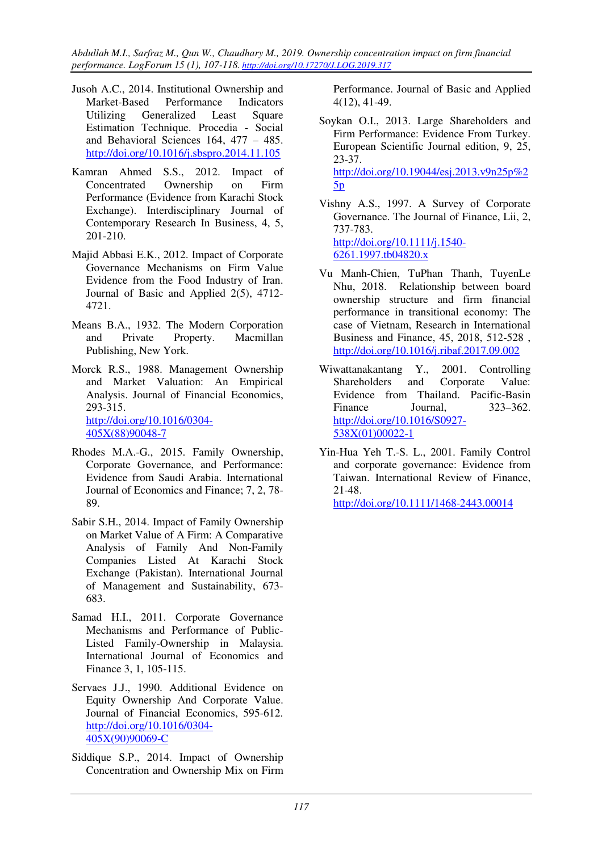*Abdullah M.I., Sarfraz M., Qun W., Chaudhary M., 2019. Ownership concentration impact on firm financial performance. LogForum 15 (1), 107-118. http://doi.org/10.17270/J.LOG.2019.317* 

- Jusoh A.C., 2014. Institutional Ownership and Market-Based Performance Indicators Utilizing Generalized Least Square Estimation Technique. Procedia - Social and Behavioral Sciences 164, 477 – 485. http://doi.org/10.1016/j.sbspro.2014.11.105
- Kamran Ahmed S.S., 2012. Impact of Concentrated Ownership on Firm Performance (Evidence from Karachi Stock Exchange). Interdisciplinary Journal of Contemporary Research In Business, 4, 5, 201-210.
- Majid Abbasi E.K., 2012. Impact of Corporate Governance Mechanisms on Firm Value Evidence from the Food Industry of Iran. Journal of Basic and Applied 2(5), 4712- 4721.
- Means B.A., 1932. The Modern Corporation and Private Property. Macmillan Publishing, New York.
- Morck R.S., 1988. Management Ownership and Market Valuation: An Empirical Analysis. Journal of Financial Economics, 293-315. http://doi.org/10.1016/0304- 405X(88)90048-7
- Rhodes M.A.-G., 2015. Family Ownership, Corporate Governance, and Performance: Evidence from Saudi Arabia. International Journal of Economics and Finance; 7, 2, 78- 89.
- Sabir S.H., 2014. Impact of Family Ownership on Market Value of A Firm: A Comparative Analysis of Family And Non-Family Companies Listed At Karachi Stock Exchange (Pakistan). International Journal of Management and Sustainability, 673- 683.
- Samad H.I., 2011. Corporate Governance Mechanisms and Performance of Public-Listed Family-Ownership in Malaysia. International Journal of Economics and Finance 3, 1, 105-115.
- Servaes J.J., 1990. Additional Evidence on Equity Ownership And Corporate Value. Journal of Financial Economics, 595-612. http://doi.org/10.1016/0304- 405X(90)90069-C
- Siddique S.P., 2014. Impact of Ownership Concentration and Ownership Mix on Firm

Performance. Journal of Basic and Applied 4(12), 41-49.

- Soykan O.I., 2013. Large Shareholders and Firm Performance: Evidence From Turkey. European Scientific Journal edition, 9, 25, 23-37. http://doi.org/10.19044/esj.2013.v9n25p%2  $5p$
- Vishny A.S., 1997. A Survey of Corporate Governance. The Journal of Finance, Lii, 2, 737-783. http://doi.org/10.1111/j.1540- 6261.1997.tb04820.x
- Vu Manh-Chien, TuPhan Thanh, TuyenLe Nhu, 2018. Relationship between board ownership structure and firm financial performance in transitional economy: The case of Vietnam, Research in International Business and Finance, 45, 2018, 512-528 , http://doi.org/10.1016/j.ribaf.2017.09.002
- Wiwattanakantang Y., 2001. Controlling Shareholders and Corporate Value: Evidence from Thailand. Pacific-Basin Finance Journal, 323–362. http://doi.org/10.1016/S0927- 538X(01)00022-1
- Yin-Hua Yeh T.-S. L., 2001. Family Control and corporate governance: Evidence from Taiwan. International Review of Finance, 21-48.

http://doi.org/10.1111/1468-2443.00014